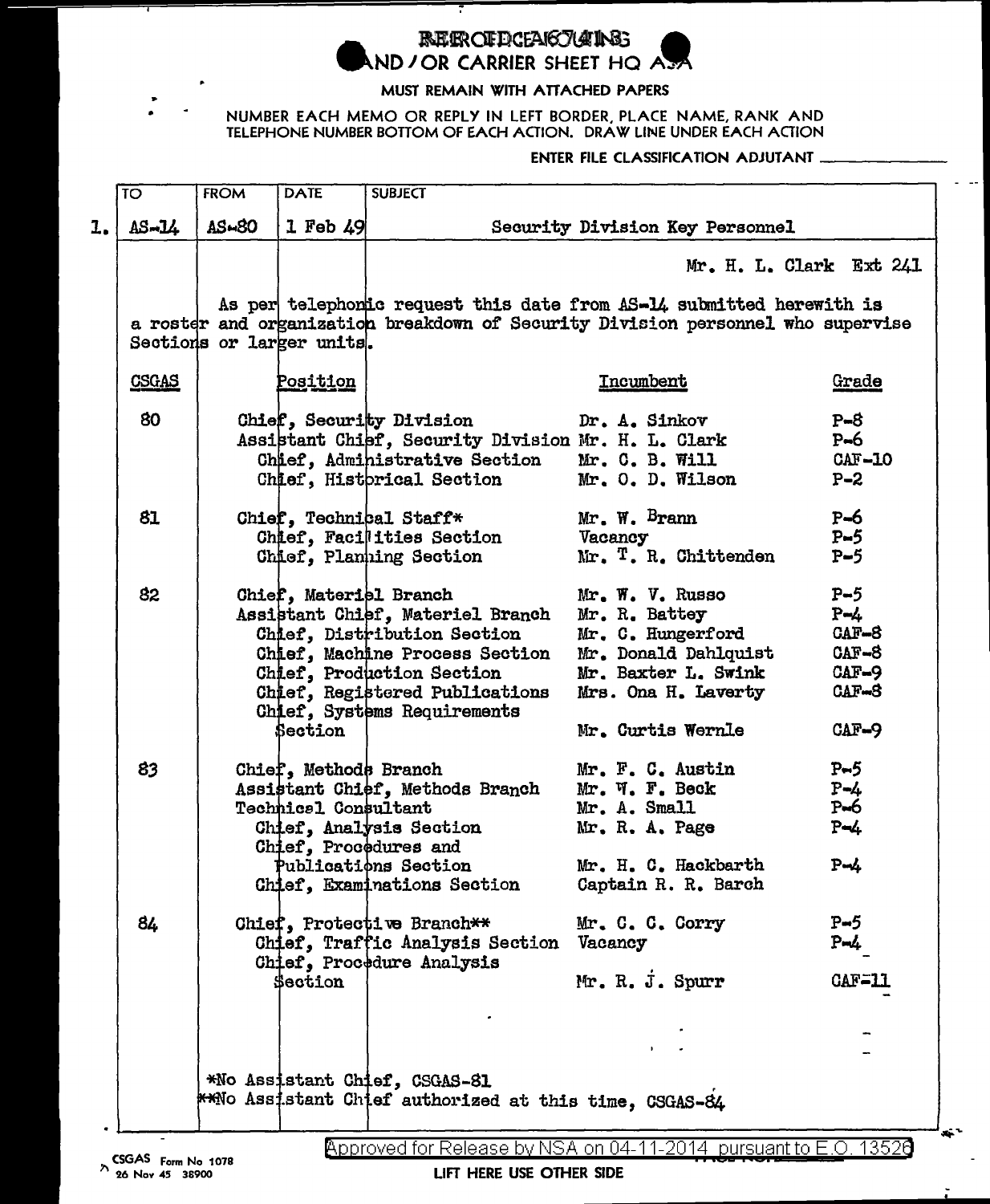

## **REFROFFICEARTOOIRE** AND JOR CARRIER SHEET HQ AS

Ŧ

## MUST REMAIN WITH ATTACHED PAPERS

## NUMBER EACH MEMO OR REPLY IN LEFT BORDER, PLACE NAME, RANK AND TELEPHONE NUMBER BOTTOM OF EACH ACTION. DRAW LINE UNDER EACH ACTION

## ENTER FILE CLASSIFICATION ADJUTANT

| <b>TO</b>                                                                               |              | <b>FROM</b> | <b>DATE</b>                 | <b>SUBJECT</b>                                                                   |                         |              |  |  |  |
|-----------------------------------------------------------------------------------------|--------------|-------------|-----------------------------|----------------------------------------------------------------------------------|-------------------------|--------------|--|--|--|
|                                                                                         | $AS - 14$    | AS-80       | $1$ Feb $49$                | Security Division Key Personnel                                                  |                         |              |  |  |  |
|                                                                                         |              |             |                             |                                                                                  | Mr. H. L. Clark Ext 241 |              |  |  |  |
| As per telephonic request this date from AS-14 submitted herewith is                    |              |             |                             |                                                                                  |                         |              |  |  |  |
|                                                                                         |              |             |                             | a roster and organization breakdown of Security Division personnel who supervise |                         |              |  |  |  |
|                                                                                         |              |             | Sections or larger units.   |                                                                                  |                         |              |  |  |  |
|                                                                                         | <b>CSGAS</b> |             | Position                    |                                                                                  | <b>Incumbent</b>        | <u>Grade</u> |  |  |  |
|                                                                                         | 80           |             |                             | Chief, Security Division                                                         | Dr. A. Sinkov           | $P = 8$      |  |  |  |
|                                                                                         |              |             |                             | Assistant Chief, Security Division Mr. H. L. Clark                               |                         | $P-6$        |  |  |  |
|                                                                                         |              |             |                             | Chief, Administrative Section                                                    | Mr. C. B. Will          | $CAF-IO$     |  |  |  |
|                                                                                         |              |             |                             | Chief, Historical Section                                                        | Mr. O. D. Wilson        | $P - 2$      |  |  |  |
|                                                                                         | 81           |             |                             | Chief, Technical Staff*                                                          | Mr. W. Bram             | $P-6$        |  |  |  |
|                                                                                         |              |             |                             | Chief, Facilities Section                                                        | Vacancy                 | $P-5$        |  |  |  |
|                                                                                         |              |             |                             | Chief, Planning Section                                                          | Mr. T. R. Chittenden    | $P-5$        |  |  |  |
|                                                                                         | 82           |             |                             | Chief, Materiel Branch                                                           | Mr. W. V. Russo         | $P-5$        |  |  |  |
|                                                                                         |              |             |                             | Assistant Chief, Materiel Branch                                                 | Mr. R. Battey           | $P - 4$      |  |  |  |
|                                                                                         |              |             |                             | Chief, Distribution Section                                                      | Mr. C. Hungerford       | CAF-8        |  |  |  |
|                                                                                         |              |             |                             | Chief, Machine Process Section                                                   | Mr. Donald Dahlquist    | $CAF-8$      |  |  |  |
|                                                                                         |              |             |                             | Chief, Production Section                                                        | Mr. Baxter L. Swink     | CAF-9        |  |  |  |
|                                                                                         |              |             |                             | Chief, Registered Publications<br>Chief, Systems Requirements                    | Mrs. Ona H. Laverty     | $CAF-8$      |  |  |  |
|                                                                                         |              |             | Section                     |                                                                                  | Mr. Curtis Wernle       | CAF-9        |  |  |  |
|                                                                                         | 83           |             | Chief, Methods Branch       |                                                                                  | Mr. F. C. Austin        | $P-5$        |  |  |  |
|                                                                                         |              |             |                             | Assistant Chief, Methods Branch                                                  | Mr. W. F. Beck          | $P - 4$      |  |  |  |
|                                                                                         |              |             | <b>Technics1 Consultant</b> |                                                                                  | Mr. A. Small            | $P\neg 6$    |  |  |  |
|                                                                                         |              |             |                             | Chief, Analysis Section                                                          | Mr. R. A. Page          | $P - 4$      |  |  |  |
|                                                                                         |              |             |                             | Chief, Procedures and                                                            |                         |              |  |  |  |
|                                                                                         |              |             |                             | Publications Section                                                             | Mr. H. C. Hackbarth     | $P - 4$      |  |  |  |
|                                                                                         |              |             |                             | Chief, Examinations Section                                                      | Captain R. R. Barch     |              |  |  |  |
|                                                                                         | 84           |             |                             | Chief, Protective Branch**                                                       | Mr. C. C. Corry         | P-5          |  |  |  |
|                                                                                         |              |             |                             | Chief, Traffic Analysis Section Vacancy                                          |                         | P-4          |  |  |  |
|                                                                                         |              |             |                             | Chief, Procedure Analysis                                                        |                         |              |  |  |  |
|                                                                                         |              |             | <b>Section</b>              |                                                                                  | Mr. R. J. Spurr         | $CAF = 11$   |  |  |  |
|                                                                                         |              |             |                             |                                                                                  |                         |              |  |  |  |
|                                                                                         |              |             |                             |                                                                                  |                         |              |  |  |  |
| *No Assistant Chief, CSGAS-81<br>**No Assistant Chief authorized at this time, CSGAS-84 |              |             |                             |                                                                                  |                         |              |  |  |  |

LIFT HERE USE OTHER SIDE